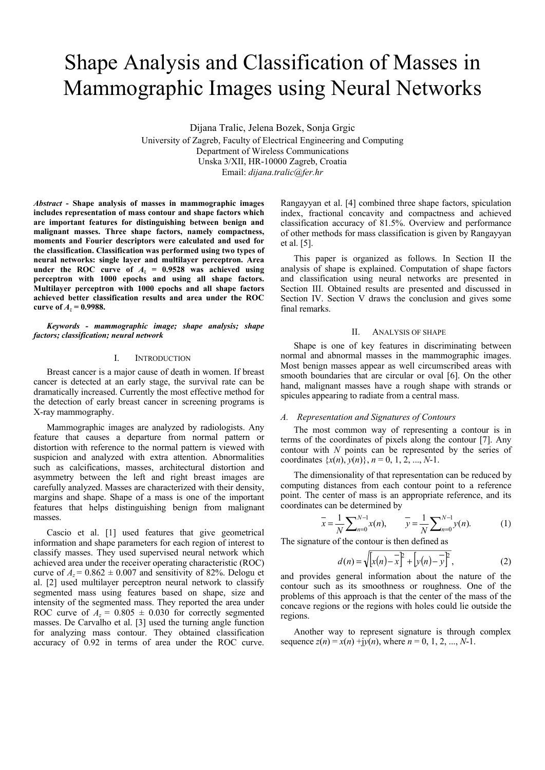# Shape Analysis and Classification of Masses in Mammographic Images using Neural Networks

Dijana Tralic, Jelena Bozek, Sonja Grgic University of Zagreb, Faculty of Electrical Engineering and Computing Department of Wireless Communications Unska 3/XII, HR-10000 Zagreb, Croatia Email: *dijana.tralic@fer.hr*

*Abstract* **- Shape analysis of masses in mammographic images includes representation of mass contour and shape factors which are important features for distinguishing between benign and malignant masses. Three shape factors, namely compactness, moments and Fourier descriptors were calculated and used for the classification. Classification was performed using two types of neural networks: single layer and multilayer perceptron. Area**  under the ROC curve of  $A_7 = 0.9528$  was achieved using **perceptron with 1000 epochs and using all shape factors. Multilayer perceptron with 1000 epochs and all shape factors achieved better classification results and area under the ROC curve of**  $A_7 = 0.9988$ **.** 

*Keywords - mammographic image; shape analysis; shape factors; classification; neural network* 

#### I. INTRODUCTION

Breast cancer is a major cause of death in women. If breast cancer is detected at an early stage, the survival rate can be dramatically increased. Currently the most effective method for the detection of early breast cancer in screening programs is X-ray mammography.

Mammographic images are analyzed by radiologists. Any feature that causes a departure from normal pattern or distortion with reference to the normal pattern is viewed with suspicion and analyzed with extra attention. Abnormalities such as calcifications, masses, architectural distortion and asymmetry between the left and right breast images are carefully analyzed. Masses are characterized with their density, margins and shape. Shape of a mass is one of the important features that helps distinguishing benign from malignant masses.

Cascio et al. [1] used features that give geometrical information and shape parameters for each region of interest to classify masses. They used supervised neural network which achieved area under the receiver operating characteristic (ROC) curve of  $A_z = 0.862 \pm 0.007$  and sensitivity of 82%. Delogu et al. [2] used multilayer perceptron neural network to classify segmented mass using features based on shape, size and intensity of the segmented mass. They reported the area under ROC curve of  $A_z = 0.805 \pm 0.030$  for correctly segmented masses. De Carvalho et al. [3] used the turning angle function for analyzing mass contour. They obtained classification accuracy of 0.92 in terms of area under the ROC curve.

Rangayyan et al. [4] combined three shape factors, spiculation index, fractional concavity and compactness and achieved classification accuracy of 81.5%. Overview and performance of other methods for mass classification is given by Rangayyan et al. [5].

This paper is organized as follows. In Section II the analysis of shape is explained. Computation of shape factors and classification using neural networks are presented in Section III. Obtained results are presented and discussed in Section IV. Section V draws the conclusion and gives some final remarks.

## II. ANALYSIS OF SHAPE

Shape is one of key features in discriminating between normal and abnormal masses in the mammographic images. Most benign masses appear as well circumscribed areas with smooth boundaries that are circular or oval [6]. On the other hand, malignant masses have a rough shape with strands or spicules appearing to radiate from a central mass.

#### *A. Representation and Signatures of Contours*

The most common way of representing a contour is in terms of the coordinates of pixels along the contour [7]. Any contour with *N* points can be represented by the series of coordinates  $\{x(n), y(n)\}, n = 0, 1, 2, ..., N-1$ .

The dimensionality of that representation can be reduced by computing distances from each contour point to a reference point. The center of mass is an appropriate reference, and its coordinates can be determined by

$$
\overline{x} = \frac{1}{N} \sum_{n=0}^{N-1} x(n), \qquad \overline{y} = \frac{1}{N} \sum_{n=0}^{N-1} y(n).
$$
 (1)

The signature of the contour is then defined as

$$
d(n) = \sqrt{\left[x(n) - \overline{x}\right]^2 + \left[y(n) - \overline{y}\right]^2},
$$
 (2)

and provides general information about the nature of the contour such as its smoothness or roughness. One of the problems of this approach is that the center of the mass of the concave regions or the regions with holes could lie outside the regions.

Another way to represent signature is through complex sequence  $z(n) = x(n) + jy(n)$ , where  $n = 0, 1, 2, ..., N-1$ .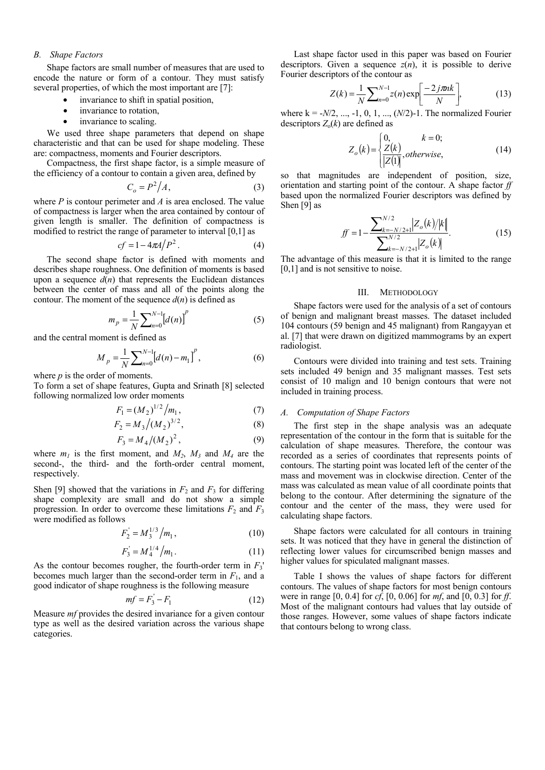## *B. Shape Factors*

Shape factors are small number of measures that are used to encode the nature or form of a contour. They must satisfy several properties, of which the most important are [7]:

- invariance to shift in spatial position.
- invariance to rotation,
- invariance to scaling.

We used three shape parameters that depend on shape characteristic and that can be used for shape modeling. These are: compactness, moments and Fourier descriptors.

Compactness, the first shape factor, is a simple measure of the efficiency of a contour to contain a given area, defined by

$$
C_o = P^2 / A,\tag{3}
$$

where *P* is contour perimeter and *A* is area enclosed. The value of compactness is larger when the area contained by contour of given length is smaller. The definition of compactness is modified to restrict the range of parameter to interval [0,1] as

$$
cf = 1 - 4\pi A/P^2. \tag{4}
$$

The second shape factor is defined with moments and describes shape roughness. One definition of moments is based upon a sequence  $d(n)$  that represents the Euclidean distances between the center of mass and all of the points along the contour. The moment of the sequence  $d(n)$  is defined as

$$
m_p = \frac{1}{N} \sum_{n=0}^{N-1} [d(n)]^p
$$
 (5)

and the central moment is defined as

$$
M_p = \frac{1}{N} \sum_{n=0}^{N-1} [d(n) - m_1]^p, \tag{6}
$$

where *p* is the order of moments.

To form a set of shape features, Gupta and Srinath [8] selected following normalized low order moments

$$
F_1 = (M_2)^{1/2} / m_1, \tag{7}
$$

$$
F_2 = M_3 / (M_2)^{3/2},\tag{8}
$$

$$
F_3 = M_4 / (M_2)^2, \tag{9}
$$

where  $m_1$  is the first moment, and  $M_2$ ,  $M_3$  and  $M_4$  are the second-, the third- and the forth-order central moment, respectively.

Shen [9] showed that the variations in  $F_2$  and  $F_3$  for differing shape complexity are small and do not show a simple progression. In order to overcome these limitations  $F_2$  and  $F_3$ were modified as follows

$$
F_2 = M_3^{1/3} / m_1, \tag{10}
$$

$$
F_3 = M_4^{1/4} / m_1. \tag{11}
$$

As the contour becomes rougher, the fourth-order term in *F*3' becomes much larger than the second-order term in  $F_1$ , and a good indicator of shape roughness is the following measure

$$
mf = F_3' - F_1 \tag{12}
$$

Measure *mf* provides the desired invariance for a given contour type as well as the desired variation across the various shape categories.

Last shape factor used in this paper was based on Fourier descriptors. Given a sequence  $z(n)$ , it is possible to derive Fourier descriptors of the contour as

$$
Z(k) = \frac{1}{N} \sum_{n=0}^{N-1} z(n) \exp\left[\frac{-2j\pi nk}{N}\right],
$$
 (13)

where  $k = -N/2, ..., -1, 0, 1, ..., (N/2)-1$ . The normalized Fourier descriptors  $Z_0(k)$  are defined as

$$
Z_o(k) = \begin{cases} 0, & k = 0; \\ \frac{Z(k)}{|Z(1)|}, otherwise, \end{cases}
$$
 (14)

so that magnitudes are independent of position, size, orientation and starting point of the contour. A shape factor *ff* based upon the normalized Fourier descriptors was defined by Shen [9] as

$$
ff = 1 - \frac{\sum_{k=-N/2+1}^{N/2} |Z_o(k)/|k|}{\sum_{k=-N/2+1}^{N/2} |Z_o(k)|}.
$$
 (15)

The advantage of this measure is that it is limited to the range [0,1] and is not sensitive to noise.

#### III. METHODOLOGY

Shape factors were used for the analysis of a set of contours of benign and malignant breast masses. The dataset included 104 contours (59 benign and 45 malignant) from Rangayyan et al. [7] that were drawn on digitized mammograms by an expert radiologist.

Contours were divided into training and test sets. Training sets included 49 benign and 35 malignant masses. Test sets consist of 10 malign and 10 benign contours that were not included in training process.

#### *A. Computation of Shape Factors*

The first step in the shape analysis was an adequate representation of the contour in the form that is suitable for the calculation of shape measures. Therefore, the contour was recorded as a series of coordinates that represents points of contours. The starting point was located left of the center of the mass and movement was in clockwise direction. Center of the mass was calculated as mean value of all coordinate points that belong to the contour. After determining the signature of the contour and the center of the mass, they were used for calculating shape factors.

Shape factors were calculated for all contours in training sets. It was noticed that they have in general the distinction of reflecting lower values for circumscribed benign masses and higher values for spiculated malignant masses.

Table I shows the values of shape factors for different contours. The values of shape factors for most benign contours were in range [0, 0.4] for *cf*, [0, 0.06] for *mf*, and [0, 0.3] for *ff*. Most of the malignant contours had values that lay outside of those ranges. However, some values of shape factors indicate that contours belong to wrong class.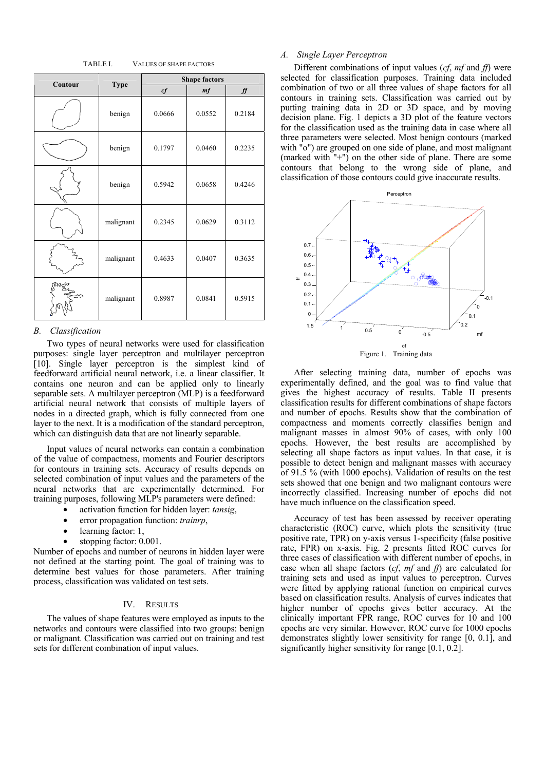TABLE I. VALUES OF SHAPE FACTORS

| Contour | <b>Type</b> | <b>Shape factors</b> |        |        |  |
|---------|-------------|----------------------|--------|--------|--|
|         |             | cf                   | mf     | ff     |  |
|         | benign      | 0.0666               | 0.0552 | 0.2184 |  |
|         | benign      | 0.1797               | 0.0460 | 0.2235 |  |
|         | benign      | 0.5942               | 0.0658 | 0.4246 |  |
|         | malignant   | 0.2345               | 0.0629 | 0.3112 |  |
|         | malignant   | 0.4633               | 0.0407 | 0.3635 |  |
|         | malignant   | 0.8987               | 0.0841 | 0.5915 |  |

#### *B. Classification*

Two types of neural networks were used for classification purposes: single layer perceptron and multilayer perceptron [10]. Single layer perceptron is the simplest kind of feedforward artificial neural network, i.e. a linear classifier. It contains one neuron and can be applied only to linearly separable sets. A multilayer perceptron (MLP) is a feedforward artificial neural network that consists of multiple layers of nodes in a directed graph, which is fully connected from one layer to the next. It is a modification of the standard perceptron, which can distinguish data that are not linearly separable.

Input values of neural networks can contain a combination of the value of compactness, moments and Fourier descriptors for contours in training sets. Accuracy of results depends on selected combination of input values and the parameters of the neural networks that are experimentally determined. For training purposes, following MLP's parameters were defined:

- activation function for hidden layer: *tansig*,
- error propagation function: *trainrp*,
- learning factor: 1,
- stopping factor: 0.001.

Number of epochs and number of neurons in hidden layer were not defined at the starting point. The goal of training was to determine best values for those parameters. After training process, classification was validated on test sets.

## IV. RESULTS

The values of shape features were employed as inputs to the networks and contours were classified into two groups: benign or malignant. Classification was carried out on training and test sets for different combination of input values.

# *A. Single Layer Perceptron*

Different combinations of input values (*cf*, *mf* and *ff*) were selected for classification purposes. Training data included combination of two or all three values of shape factors for all contours in training sets. Classification was carried out by putting training data in 2D or 3D space, and by moving decision plane. Fig. 1 depicts a 3D plot of the feature vectors for the classification used as the training data in case where all three parameters were selected. Most benign contours (marked with "o") are grouped on one side of plane, and most malignant (marked with "+") on the other side of plane. There are some contours that belong to the wrong side of plane, and classification of those contours could give inaccurate results.



After selecting training data, number of epochs was experimentally defined, and the goal was to find value that gives the highest accuracy of results. Table II presents classification results for different combinations of shape factors and number of epochs. Results show that the combination of compactness and moments correctly classifies benign and malignant masses in almost 90% of cases, with only 100 epochs. However, the best results are accomplished by selecting all shape factors as input values. In that case, it is possible to detect benign and malignant masses with accuracy of 91.5 % (with 1000 epochs). Validation of results on the test sets showed that one benign and two malignant contours were incorrectly classified. Increasing number of epochs did not have much influence on the classification speed.

Accuracy of test has been assessed by receiver operating characteristic (ROC) curve, which plots the sensitivity (true positive rate, TPR) on y-axis versus 1-specificity (false positive rate, FPR) on x-axis. Fig. 2 presents fitted ROC curves for three cases of classification with different number of epochs, in case when all shape factors (*cf*, *mf* and *ff*) are calculated for training sets and used as input values to perceptron. Curves were fitted by applying rational function on empirical curves based on classification results. Analysis of curves indicates that higher number of epochs gives better accuracy. At the clinically important FPR range, ROC curves for 10 and 100 epochs are very similar. However, ROC curve for 1000 epochs demonstrates slightly lower sensitivity for range [0, 0.1], and significantly higher sensitivity for range [0.1, 0.2].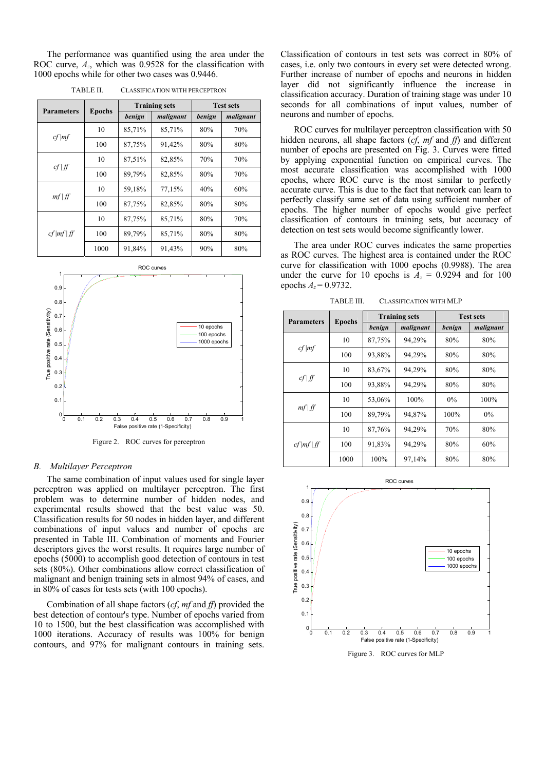The performance was quantified using the area under the ROC curve, *Az*, which was 0.9528 for the classification with 1000 epochs while for other two cases was 0.9446.

| <b>Parameters</b> |               | <b>Training sets</b> |           | <b>Test sets</b> |           |
|-------------------|---------------|----------------------|-----------|------------------|-----------|
|                   | <b>Epochs</b> | benign               | malignant | benign           | malignant |
| $cf$ mf           | 10            | 85,71%               | 85,71%    | 80%              | 70%       |
|                   | 100           | 87,75%               | 91,42%    | 80%              | 80%       |
| $cf$ $ff$         | 10            | 87,51%               | 82,85%    | 70%              | 70%       |
|                   | 100           | 89,79%               | 82,85%    | 80%              | 70%       |
| $mf \mid ff$      | 10            | 59,18%               | 77,15%    | 40%              | 60%       |
|                   | 100           | 87,75%               | 82,85%    | 80%              | 80%       |
| $cf$  mf   ff     | 10            | 87,75%               | 85,71%    | 80%              | 70%       |
|                   | 100           | 89,79%               | 85,71%    | 80%              | 80%       |
|                   | 1000          | 91,84%               | 91,43%    | 90%              | 80%       |

TABLE II. CLASSIFICATION WITH PERCEPTRON



Figure 2. ROC curves for perceptron

## *B. Multilayer Perceptron*

The same combination of input values used for single layer perceptron was applied on multilayer perceptron. The first problem was to determine number of hidden nodes, and experimental results showed that the best value was 50. Classification results for 50 nodes in hidden layer, and different combinations of input values and number of epochs are presented in Table III. Combination of moments and Fourier descriptors gives the worst results. It requires large number of epochs (5000) to accomplish good detection of contours in test sets (80%). Other combinations allow correct classification of malignant and benign training sets in almost 94% of cases, and in 80% of cases for tests sets (with 100 epochs).

Combination of all shape factors (*cf*, *mf* and *ff*) provided the best detection of contour's type. Number of epochs varied from 10 to 1500, but the best classification was accomplished with 1000 iterations. Accuracy of results was 100% for benign contours, and 97% for malignant contours in training sets.

Classification of contours in test sets was correct in 80% of cases, i.e. only two contours in every set were detected wrong. Further increase of number of epochs and neurons in hidden layer did not significantly influence the increase in classification accuracy. Duration of training stage was under 10 seconds for all combinations of input values, number of neurons and number of epochs.

ROC curves for multilayer perceptron classification with 50 hidden neurons, all shape factors (*cf*, *mf* and *ff*) and different number of epochs are presented on Fig. 3. Curves were fitted by applying exponential function on empirical curves. The most accurate classification was accomplished with 1000 epochs, where ROC curve is the most similar to perfectly accurate curve. This is due to the fact that network can learn to perfectly classify same set of data using sufficient number of epochs. The higher number of epochs would give perfect classification of contours in training sets, but accuracy of detection on test sets would become significantly lower.

The area under ROC curves indicates the same properties as ROC curves. The highest area is contained under the ROC curve for classification with 1000 epochs (0.9988). The area under the curve for 10 epochs is  $A_z = 0.9294$  and for 100 epochs  $A_z = 0.9732$ .

TABLE III. CLASSIFICATION WITH MLP

| <b>Parameters</b> | <b>Epochs</b> | <b>Training sets</b> |           | <b>Test sets</b> |           |
|-------------------|---------------|----------------------|-----------|------------------|-----------|
|                   |               | benign               | malignant | benign           | malignant |
| $cf$  mf          | 10            | 87,75%               | 94,29%    | 80%              | 80%       |
|                   | 100           | 93,88%               | 94,29%    | 80%              | 80%       |
| $cf$ ff           | 10            | 83,67%               | 94,29%    | 80%              | 80%       |
|                   | 100           | 93,88%               | 94,29%    | 80%              | 80%       |
| $mf \mid ff$      | 10            | 53,06%               | $100\%$   | $0\%$            | 100%      |
|                   | 100           | 89,79%               | 94,87%    | 100%             | $0\%$     |
| $cf$  mf   ff     | 10            | 87,76%               | 94,29%    | 70%              | 80%       |
|                   | 100           | 91,83%               | 94,29%    | 80%              | 60%       |
|                   | 1000          | 100%                 | 97,14%    | 80%              | 80%       |